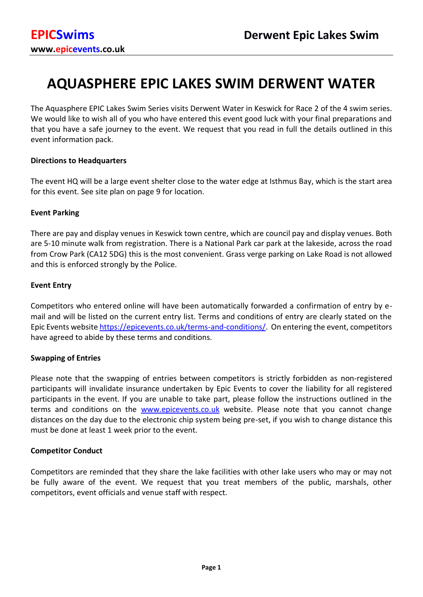# **AQUASPHERE EPIC LAKES SWIM DERWENT WATER**

The Aquasphere EPIC Lakes Swim Series visits Derwent Water in Keswick for Race 2 of the 4 swim series. We would like to wish all of you who have entered this event good luck with your final preparations and that you have a safe journey to the event. We request that you read in full the details outlined in this event information pack.

# **Directions to Headquarters**

The event HQ will be a large event shelter close to the water edge at Isthmus Bay, which is the start area for this event. See site plan on page 9 for location.

# **Event Parking**

There are pay and display venues in Keswick town centre, which are council pay and display venues. Both are 5-10 minute walk from registration. There is a National Park car park at the lakeside, across the road from Crow Park (CA12 5DG) this is the most convenient. Grass verge parking on Lake Road is not allowed and this is enforced strongly by the Police.

# **Event Entry**

Competitors who entered online will have been automatically forwarded a confirmation of entry by email and will be listed on the current entry list. Terms and conditions of entry are clearly stated on the Epic Events websit[e https://epicevents.co.uk/terms-and-conditions/.](https://epicevents.co.uk/terms-and-conditions/) On entering the event, competitors have agreed to abide by these terms and conditions.

# **Swapping of Entries**

Please note that the swapping of entries between competitors is strictly forbidden as non-registered participants will invalidate insurance undertaken by Epic Events to cover the liability for all registered participants in the event. If you are unable to take part, please follow the instructions outlined in the terms and conditions on the [www.epicevents.co.uk](http://www.epicevents.co.uk/) website. Please note that you cannot change distances on the day due to the electronic chip system being pre-set, if you wish to change distance this must be done at least 1 week prior to the event.

# **Competitor Conduct**

Competitors are reminded that they share the lake facilities with other lake users who may or may not be fully aware of the event. We request that you treat members of the public, marshals, other competitors, event officials and venue staff with respect.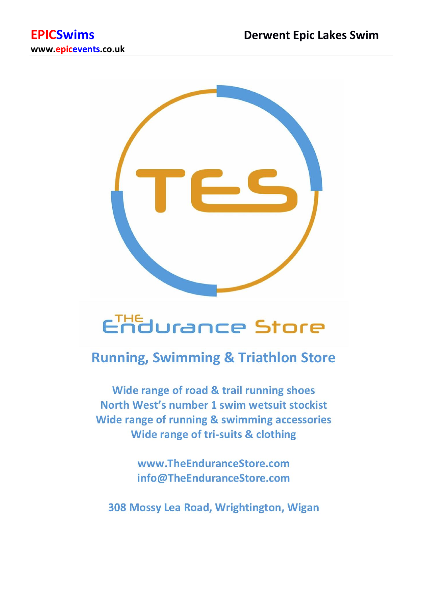

# Endurance Store

# **Running, Swimming & Triathlon Store**

Wide range of road & trail running shoes North West's number 1 swim wetsuit stockist Wide range of running & swimming accessories Wide range of tri-suits & clothing

> www.TheEnduranceStore.com info@TheEnduranceStore.com

308 Mossy Lea Road, Wrightington, Wigan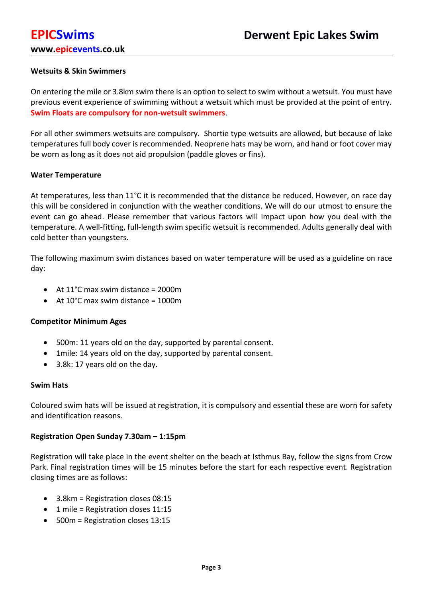## **Wetsuits & Skin Swimmers**

On entering the mile or 3.8km swim there is an option to select to swim without a wetsuit. You must have previous event experience of swimming without a wetsuit which must be provided at the point of entry. **Swim Floats are compulsory for non-wetsuit swimmers**.

For all other swimmers wetsuits are compulsory. Shortie type wetsuits are allowed, but because of lake temperatures full body cover is recommended. Neoprene hats may be worn, and hand or foot cover may be worn as long as it does not aid propulsion (paddle gloves or fins).

### **Water Temperature**

At temperatures, less than 11°C it is recommended that the distance be reduced. However, on race day this will be considered in conjunction with the weather conditions. We will do our utmost to ensure the event can go ahead. Please remember that various factors will impact upon how you deal with the temperature. A well-fitting, full-length swim specific wetsuit is recommended. Adults generally deal with cold better than youngsters.

The following maximum swim distances based on water temperature will be used as a guideline on race day:

- At 11°C max swim distance = 2000m
- At 10°C max swim distance = 1000m

#### **Competitor Minimum Ages**

- 500m: 11 years old on the day, supported by parental consent.
- 1mile: 14 years old on the day, supported by parental consent.
- 3.8k: 17 years old on the day.

#### **Swim Hats**

Coloured swim hats will be issued at registration, it is compulsory and essential these are worn for safety and identification reasons.

#### **Registration Open Sunday 7.30am – 1:15pm**

Registration will take place in the event shelter on the beach at Isthmus Bay, follow the signs from Crow Park. Final registration times will be 15 minutes before the start for each respective event. Registration closing times are as follows:

- 3.8km = Registration closes 08:15
- 1 mile = Registration closes 11:15
- 500m = Registration closes 13:15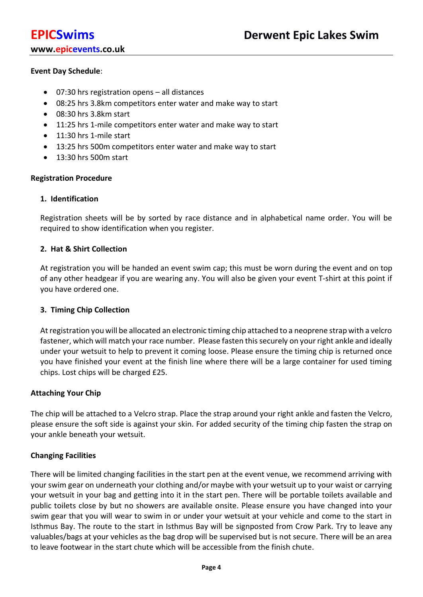#### **Event Day Schedule**:

- 07:30 hrs registration opens all distances
- 08:25 hrs 3.8km competitors enter water and make way to start
- 08:30 hrs 3.8km start
- 11:25 hrs 1-mile competitors enter water and make way to start
- 11:30 hrs 1-mile start
- 13:25 hrs 500m competitors enter water and make way to start
- 13:30 hrs 500m start

### **Registration Procedure**

### **1. Identification**

Registration sheets will be by sorted by race distance and in alphabetical name order. You will be required to show identification when you register.

# **2. Hat & Shirt Collection**

At registration you will be handed an event swim cap; this must be worn during the event and on top of any other headgear if you are wearing any. You will also be given your event T-shirt at this point if you have ordered one.

# **3. Timing Chip Collection**

At registration you will be allocated an electronic timing chip attached to a neoprene strap with a velcro fastener, which will match your race number. Please fasten this securely on your right ankle and ideally under your wetsuit to help to prevent it coming loose. Please ensure the timing chip is returned once you have finished your event at the finish line where there will be a large container for used timing chips. Lost chips will be charged £25.

# **Attaching Your Chip**

The chip will be attached to a Velcro strap. Place the strap around your right ankle and fasten the Velcro, please ensure the soft side is against your skin. For added security of the timing chip fasten the strap on your ankle beneath your wetsuit.

# **Changing Facilities**

There will be limited changing facilities in the start pen at the event venue, we recommend arriving with your swim gear on underneath your clothing and/or maybe with your wetsuit up to your waist or carrying your wetsuit in your bag and getting into it in the start pen. There will be portable toilets available and public toilets close by but no showers are available onsite. Please ensure you have changed into your swim gear that you will wear to swim in or under your wetsuit at your vehicle and come to the start in Isthmus Bay. The route to the start in Isthmus Bay will be signposted from Crow Park. Try to leave any valuables/bags at your vehicles as the bag drop will be supervised but is not secure. There will be an area to leave footwear in the start chute which will be accessible from the finish chute.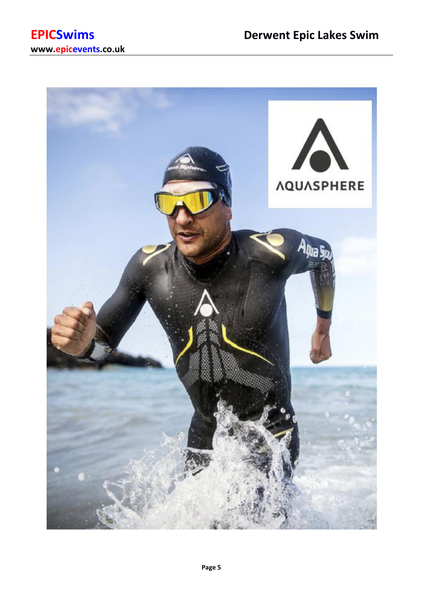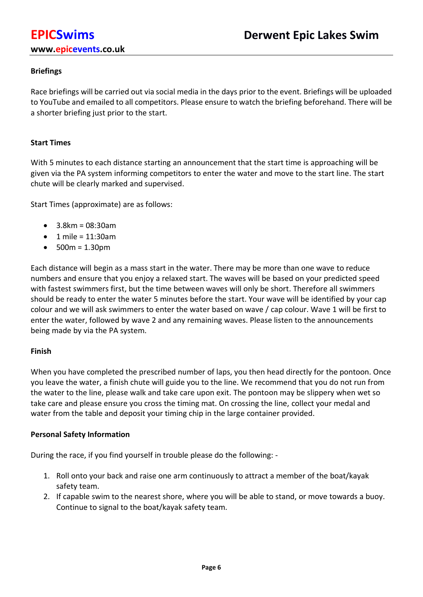# **Briefings**

Race briefings will be carried out via social media in the days prior to the event. Briefings will be uploaded to YouTube and emailed to all competitors. Please ensure to watch the briefing beforehand. There will be a shorter briefing just prior to the start.

# **Start Times**

With 5 minutes to each distance starting an announcement that the start time is approaching will be given via the PA system informing competitors to enter the water and move to the start line. The start chute will be clearly marked and supervised.

Start Times (approximate) are as follows:

- $\bullet$  3.8km = 08:30am
- 1 mile = 11:30am
- $500m = 1.30pm$

Each distance will begin as a mass start in the water. There may be more than one wave to reduce numbers and ensure that you enjoy a relaxed start. The waves will be based on your predicted speed with fastest swimmers first, but the time between waves will only be short. Therefore all swimmers should be ready to enter the water 5 minutes before the start. Your wave will be identified by your cap colour and we will ask swimmers to enter the water based on wave / cap colour. Wave 1 will be first to enter the water, followed by wave 2 and any remaining waves. Please listen to the announcements being made by via the PA system.

# **Finish**

When you have completed the prescribed number of laps, you then head directly for the pontoon. Once you leave the water, a finish chute will guide you to the line. We recommend that you do not run from the water to the line, please walk and take care upon exit. The pontoon may be slippery when wet so take care and please ensure you cross the timing mat. On crossing the line, collect your medal and water from the table and deposit your timing chip in the large container provided.

# **Personal Safety Information**

During the race, if you find yourself in trouble please do the following: -

- 1. Roll onto your back and raise one arm continuously to attract a member of the boat/kayak safety team.
- 2. If capable swim to the nearest shore, where you will be able to stand, or move towards a buoy. Continue to signal to the boat/kayak safety team.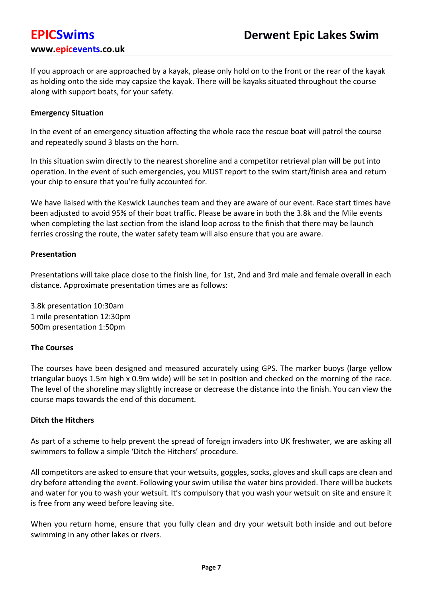If you approach or are approached by a kayak, please only hold on to the front or the rear of the kayak as holding onto the side may capsize the kayak. There will be kayaks situated throughout the course along with support boats, for your safety.

# **Emergency Situation**

In the event of an emergency situation affecting the whole race the rescue boat will patrol the course and repeatedly sound 3 blasts on the horn.

In this situation swim directly to the nearest shoreline and a competitor retrieval plan will be put into operation. In the event of such emergencies, you MUST report to the swim start/finish area and return your chip to ensure that you're fully accounted for.

We have liaised with the Keswick Launches team and they are aware of our event. Race start times have been adjusted to avoid 95% of their boat traffic. Please be aware in both the 3.8k and the Mile events when completing the last section from the island loop across to the finish that there may be launch ferries crossing the route, the water safety team will also ensure that you are aware.

# **Presentation**

Presentations will take place close to the finish line, for 1st, 2nd and 3rd male and female overall in each distance. Approximate presentation times are as follows:

3.8k presentation 10:30am 1 mile presentation 12:30pm 500m presentation 1:50pm

# **The Courses**

The courses have been designed and measured accurately using GPS. The marker buoys (large yellow triangular buoys 1.5m high x 0.9m wide) will be set in position and checked on the morning of the race. The level of the shoreline may slightly increase or decrease the distance into the finish. You can view the course maps towards the end of this document.

# **Ditch the Hitchers**

As part of a scheme to help prevent the spread of foreign invaders into UK freshwater, we are asking all swimmers to follow a simple 'Ditch the Hitchers' procedure.

All competitors are asked to ensure that your wetsuits, goggles, socks, gloves and skull caps are clean and dry before attending the event. Following your swim utilise the water bins provided. There will be buckets and water for you to wash your wetsuit. It's compulsory that you wash your wetsuit on site and ensure it is free from any weed before leaving site.

When you return home, ensure that you fully clean and dry your wetsuit both inside and out before swimming in any other lakes or rivers.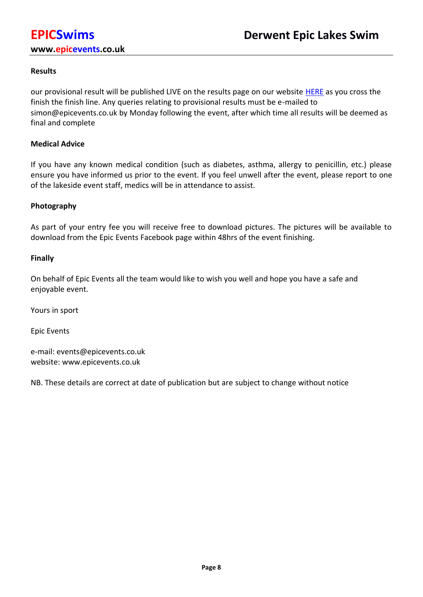# **Results**

our provisional result will be published LIVE on the results page on our website **HERE** as you cross the finish the finish line. Any queries relating to provisional results must be e-mailed to simon@epicevents.co.uk by Monday following the event, after which time all results will be deemed as final and complete

# **Medical Advice**

If you have any known medical condition (such as diabetes, asthma, allergy to penicillin, etc.) please ensure you have informed us prior to the event. If you feel unwell after the event, please report to one of the lakeside event staff, medics will be in attendance to assist.

### **Photography**

As part of your entry fee you will receive free to download pictures. The pictures will be available to download from the Epic Events Facebook page within 48hrs of the event finishing.

### **Finally**

On behalf of Epic Events all the team would like to wish you well and hope you have a safe and enjoyable event.

Yours in sport

Epic Events

e-mail: events@epicevents.co.uk website: www.epicevents.co.uk

NB. These details are correct at date of publication but are subject to change without notice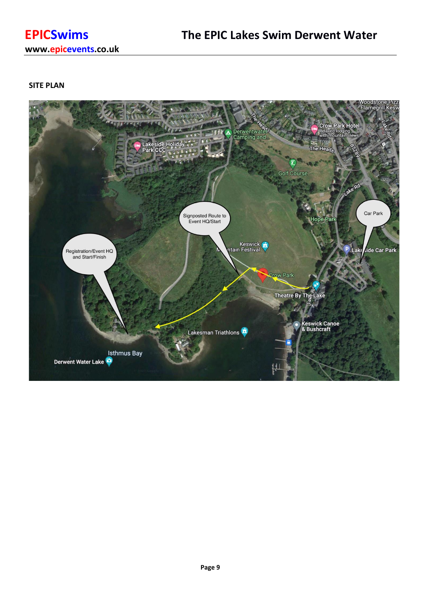### **SITE PLAN**

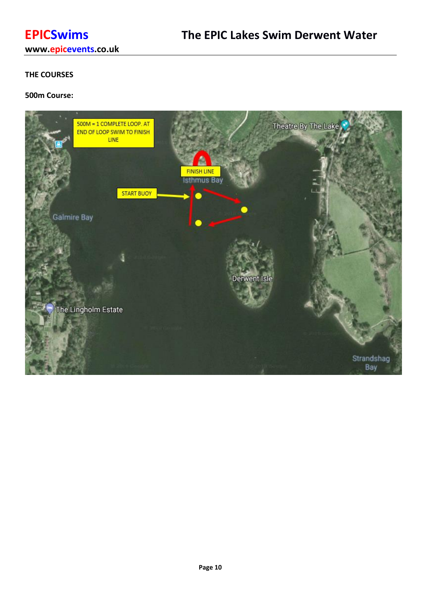# **THE COURSES**

### **500m Course:**

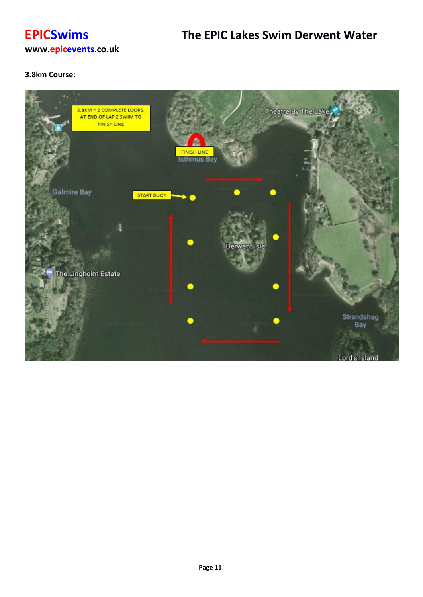# **3.8km Course:**